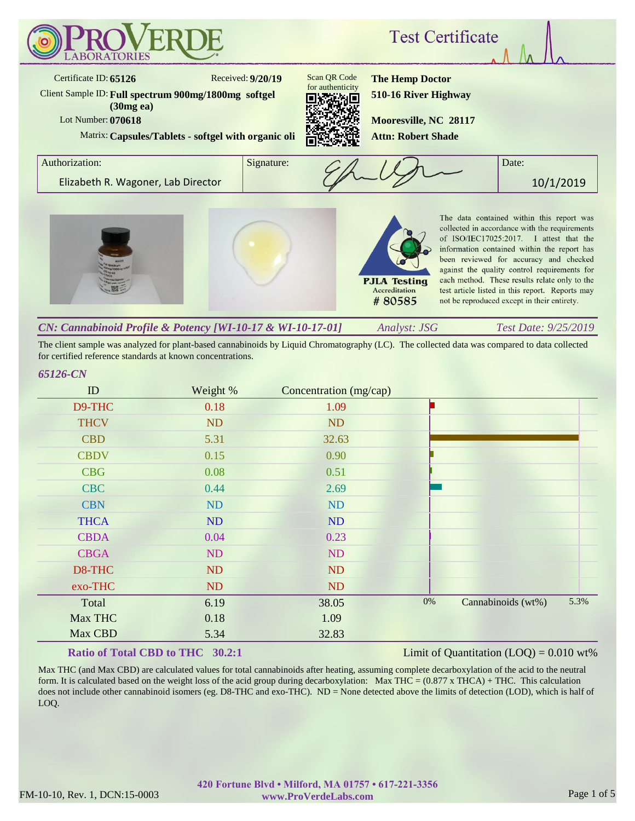

The client sample was analyzed for plant-based cannabinoids by Liquid Chromatography (LC). The collected data was compared to data collected for certified reference standards at known concentrations.

#### *65126-CN*

| ID          | Weight %  | Concentration (mg/cap) |    |                    |      |
|-------------|-----------|------------------------|----|--------------------|------|
| D9-THC      | 0.18      | 1.09                   |    |                    |      |
| <b>THCV</b> | <b>ND</b> | <b>ND</b>              |    |                    |      |
| <b>CBD</b>  | 5.31      | 32.63                  |    |                    |      |
| <b>CBDV</b> | 0.15      | 0.90                   |    |                    |      |
| <b>CBG</b>  | 0.08      | 0.51                   |    |                    |      |
| <b>CBC</b>  | 0.44      | 2.69                   |    |                    |      |
| <b>CBN</b>  | ND        | ND                     |    |                    |      |
| <b>THCA</b> | ND        | ND                     |    |                    |      |
| <b>CBDA</b> | 0.04      | 0.23                   |    |                    |      |
| <b>CBGA</b> | ND        | ND                     |    |                    |      |
| D8-THC      | ND        | <b>ND</b>              |    |                    |      |
| exo-THC     | ND        | ND                     |    |                    |      |
| Total       | 6.19      | 38.05                  | 0% | Cannabinoids (wt%) | 5.3% |
| Max THC     | 0.18      | 1.09                   |    |                    |      |
| Max CBD     | 5.34      | 32.83                  |    |                    |      |

#### **Ratio of Total CBD to THC 30.2:1**

#### Limit of Quantitation  $(LOQ) = 0.010$  wt%

Max THC (and Max CBD) are calculated values for total cannabinoids after heating, assuming complete decarboxylation of the acid to the neutral form. It is calculated based on the weight loss of the acid group during decarboxylation: Max THC =  $(0.877 \times THCA) + THC$ . This calculation does not include other cannabinoid isomers (eg. D8-THC and exo-THC). ND = None detected above the limits of detection (LOD), which is half of LOQ.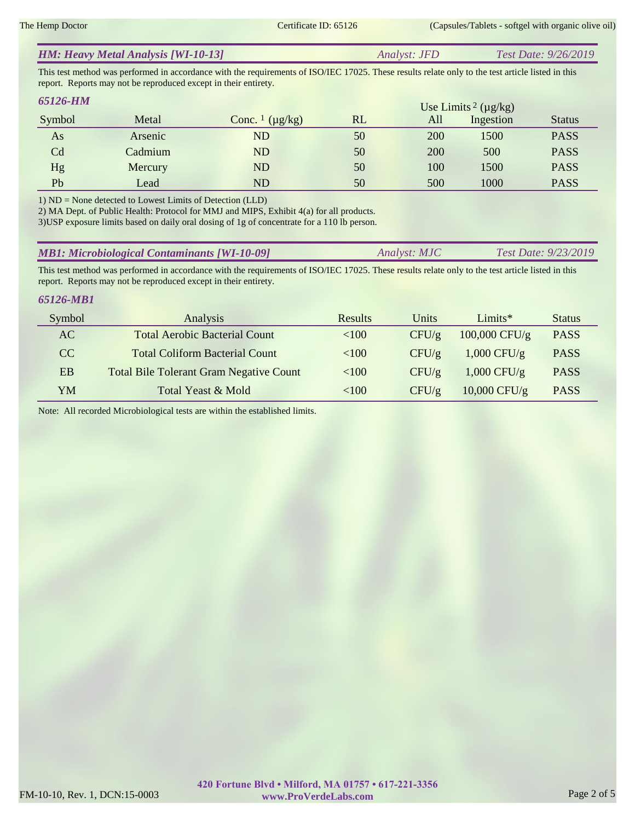|  | <b>HM: Heavy Metal Analysis [WI-10-13]</b> | Analyst: JFD | <i>Test Date: 9/26/2019</i> |
|--|--------------------------------------------|--------------|-----------------------------|
|--|--------------------------------------------|--------------|-----------------------------|

This test method was performed in accordance with the requirements of ISO/IEC 17025. These results relate only to the test article listed in this report. Reports may not be reproduced except in their entirety.

| 65126-HM |         |                                     |    |     | Use Limits <sup>2</sup> ( $\mu$ g/kg) |               |
|----------|---------|-------------------------------------|----|-----|---------------------------------------|---------------|
| Symbol   | Metal   | Conc. $\frac{1}{\mu}$ ( $\mu$ g/kg) | RL | All | Ingestion                             | <b>Status</b> |
| As       | Arsenic | ND                                  | 50 | 200 | 1500                                  | <b>PASS</b>   |
| Cd       | Cadmium | ND                                  | 50 | 200 | 500                                   | <b>PASS</b>   |
| Hg       | Mercury | ND                                  | 50 | 100 | 1500                                  | <b>PASS</b>   |
| Pb       | Lead    | ND                                  | 50 | 500 | 1000                                  | <b>PASS</b>   |

1) ND = None detected to Lowest Limits of Detection (LLD)

2) MA Dept. of Public Health: Protocol for MMJ and MIPS, Exhibit 4(a) for all products.

3)USP exposure limits based on daily oral dosing of 1g of concentrate for a 110 lb person.

| <b>MB1: Microbiological Contaminants [WI-10-09]</b><br><i>Test Date: 9/23/2019</i><br>Analyst: MJC |
|----------------------------------------------------------------------------------------------------|
|----------------------------------------------------------------------------------------------------|

This test method was performed in accordance with the requirements of ISO/IEC 17025. These results relate only to the test article listed in this report. Reports may not be reproduced except in their entirety.

### *65126-MB1*

| Symbol | Analysis                                       | Results  | Units | $Limits*$       | <b>Status</b> |
|--------|------------------------------------------------|----------|-------|-----------------|---------------|
| AC     | <b>Total Aerobic Bacterial Count</b>           | <100     | CFU/g | $100,000$ CFU/g | <b>PASS</b>   |
| CC     | <b>Total Coliform Bacterial Count</b>          | < 100    | CFU/g | $1,000$ CFU/g   | <b>PASS</b>   |
| EB     | <b>Total Bile Tolerant Gram Negative Count</b> | ${<}100$ | CFU/g | $1,000$ CFU/g   | <b>PASS</b>   |
| YM     | Total Yeast & Mold                             | <100     | CFU/g | $10,000$ CFU/g  | <b>PASS</b>   |

Note: All recorded Microbiological tests are within the established limits.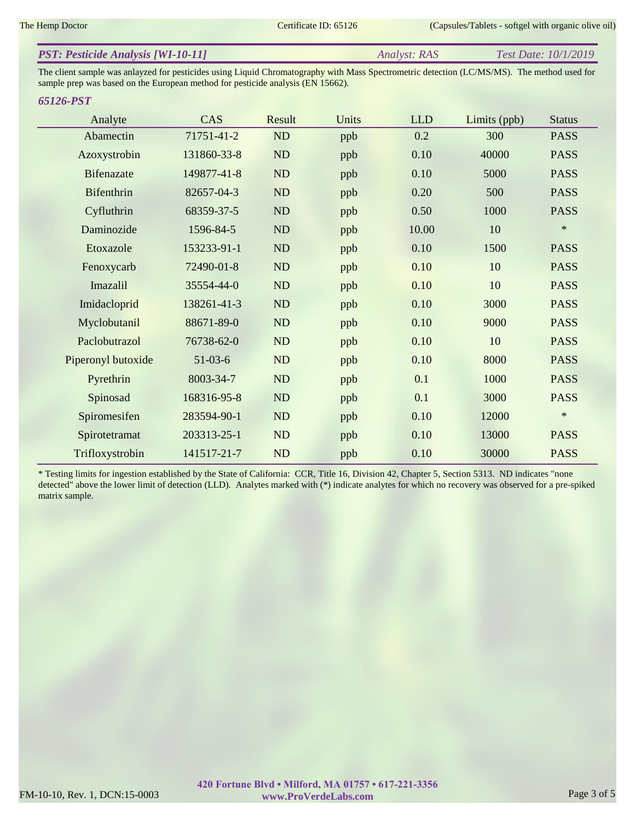| <b>PST: Pesticide Analysis [WI-10-11]</b> | <i>Analyst: RAS</i> | <i>Test Date: 10/1/2019</i> |
|-------------------------------------------|---------------------|-----------------------------|
|                                           |                     |                             |

The client sample was anlayzed for pesticides using Liquid Chromatography with Mass Spectrometric detection (LC/MS/MS). The method used for sample prep was based on the European method for pesticide analysis (EN 15662).

#### *65126-PST*

| Analyte            | CAS         | Result | Units | <b>LLD</b> | Limits (ppb) | <b>Status</b> |
|--------------------|-------------|--------|-------|------------|--------------|---------------|
| Abamectin          | 71751-41-2  | ND     | ppb   | 0.2        | 300          | <b>PASS</b>   |
| Azoxystrobin       | 131860-33-8 | ND     | ppb   | 0.10       | 40000        | <b>PASS</b>   |
| <b>Bifenazate</b>  | 149877-41-8 | ND     | ppb   | 0.10       | 5000         | <b>PASS</b>   |
| Bifenthrin         | 82657-04-3  | ND     | ppb   | 0.20       | 500          | <b>PASS</b>   |
| Cyfluthrin         | 68359-37-5  | ND     | ppb   | 0.50       | 1000         | <b>PASS</b>   |
| Daminozide         | 1596-84-5   | ND     | ppb   | 10.00      | 10           | $\ast$        |
| Etoxazole          | 153233-91-1 | ND     | ppb   | 0.10       | 1500         | <b>PASS</b>   |
| Fenoxycarb         | 72490-01-8  | ND     | ppb   | 0.10       | 10           | <b>PASS</b>   |
| Imazalil           | 35554-44-0  | ND     | ppb   | 0.10       | 10           | <b>PASS</b>   |
| Imidacloprid       | 138261-41-3 | ND     | ppb   | 0.10       | 3000         | <b>PASS</b>   |
| Myclobutanil       | 88671-89-0  | ND     | ppb   | 0.10       | 9000         | <b>PASS</b>   |
| Paclobutrazol      | 76738-62-0  | ND     | ppb   | 0.10       | 10           | <b>PASS</b>   |
| Piperonyl butoxide | $51-03-6$   | ND     | ppb   | 0.10       | 8000         | <b>PASS</b>   |
| Pyrethrin          | 8003-34-7   | ND     | ppb   | 0.1        | 1000         | <b>PASS</b>   |
| Spinosad           | 168316-95-8 | ND     | ppb   | 0.1        | 3000         | <b>PASS</b>   |
| Spiromesifen       | 283594-90-1 | ND     | ppb   | 0.10       | 12000        | $\ast$        |
| Spirotetramat      | 203313-25-1 | ND     | ppb   | 0.10       | 13000        | <b>PASS</b>   |
| Trifloxystrobin    | 141517-21-7 | ND     | ppb   | 0.10       | 30000        | <b>PASS</b>   |

\* Testing limits for ingestion established by the State of California: CCR, Title 16, Division 42, Chapter 5, Section 5313. ND indicates "none detected" above the lower limit of detection (LLD). Analytes marked with (\*) indicate analytes for which no recovery was observed for a pre-spiked matrix sample.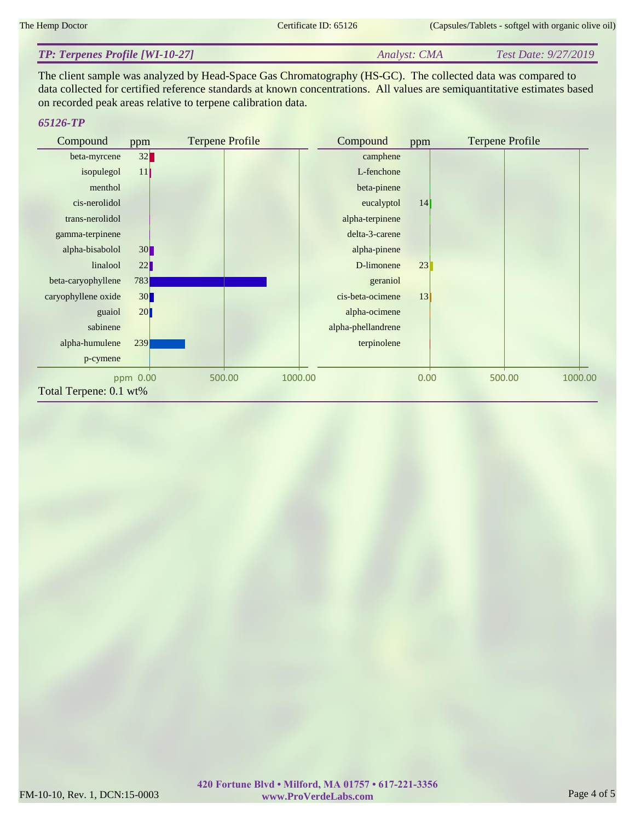#### *Analyst: CMA Test Date: 9/27/2019 TP: Terpenes Profile [WI-10-27]*

The client sample was analyzed by Head-Space Gas Chromatography (HS-GC). The collected data was compared to data collected for certified reference standards at known concentrations. All values are semiquantitative estimates based on recorded peak areas relative to terpene calibration data.

## *65126-TP*